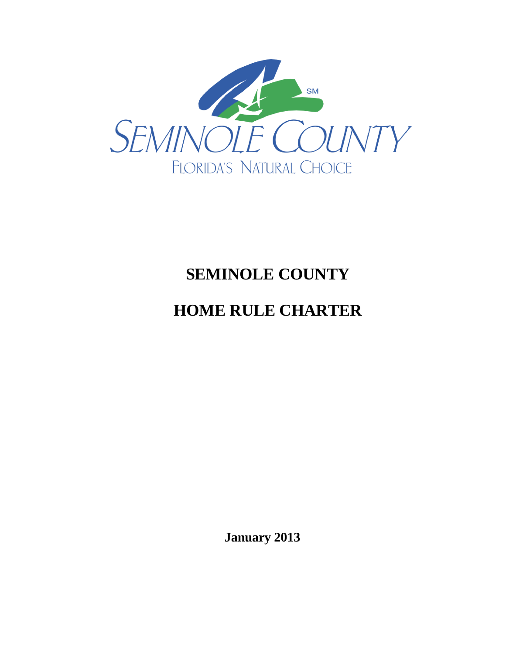

# **SEMINOLE COUNTY**

# **HOME RULE CHARTER**

**January 2013**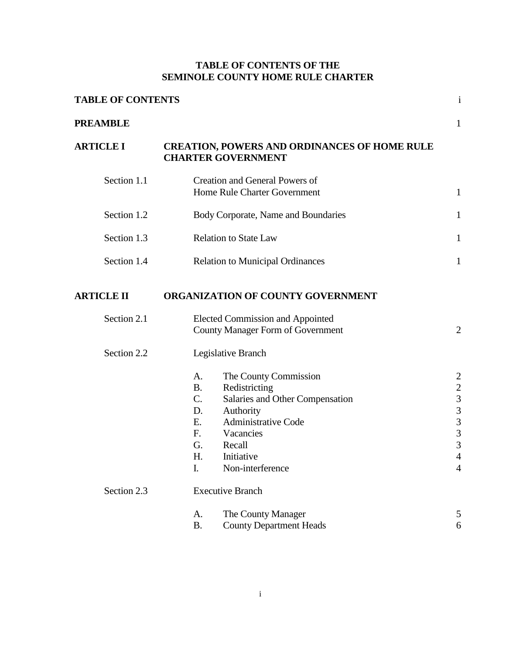# **TABLE OF CONTENTS OF THE SEMINOLE COUNTY HOME RULE CHARTER**

| <b>TABLE OF CONTENTS</b> |                                                                                                                                                                                                                                                                       |                                                                                                                                                                 |  |
|--------------------------|-----------------------------------------------------------------------------------------------------------------------------------------------------------------------------------------------------------------------------------------------------------------------|-----------------------------------------------------------------------------------------------------------------------------------------------------------------|--|
| <b>PREAMBLE</b>          |                                                                                                                                                                                                                                                                       | 1                                                                                                                                                               |  |
| <b>ARTICLE I</b>         | <b>CREATION, POWERS AND ORDINANCES OF HOME RULE</b><br><b>CHARTER GOVERNMENT</b>                                                                                                                                                                                      |                                                                                                                                                                 |  |
| Section 1.1              | <b>Creation and General Powers of</b><br>Home Rule Charter Government                                                                                                                                                                                                 | $\mathbf{1}$                                                                                                                                                    |  |
| Section 1.2              | Body Corporate, Name and Boundaries                                                                                                                                                                                                                                   | 1                                                                                                                                                               |  |
| Section 1.3              | <b>Relation to State Law</b>                                                                                                                                                                                                                                          | $\mathbf{1}$                                                                                                                                                    |  |
| Section 1.4              | <b>Relation to Municipal Ordinances</b>                                                                                                                                                                                                                               | $\mathbf{1}$                                                                                                                                                    |  |
| <b>ARTICLE II</b>        | ORGANIZATION OF COUNTY GOVERNMENT                                                                                                                                                                                                                                     |                                                                                                                                                                 |  |
| Section 2.1              | <b>Elected Commission and Appointed</b><br><b>County Manager Form of Government</b>                                                                                                                                                                                   | $\overline{2}$                                                                                                                                                  |  |
| Section 2.2              | Legislative Branch                                                                                                                                                                                                                                                    |                                                                                                                                                                 |  |
| Section 2.3              | The County Commission<br>A.<br><b>B.</b><br>Redistricting<br>C.<br>Salaries and Other Compensation<br>D.<br>Authority<br><b>Administrative Code</b><br>Ε.<br>F.<br>Vacancies<br>G.<br>Recall<br>H.<br>Initiative<br>I.<br>Non-interference<br><b>Executive Branch</b> | $\overline{2}$<br>$\overline{\mathbf{c}}$<br>$\overline{\mathbf{3}}$<br>$\overline{\mathbf{3}}$<br>3<br>$\overline{3}$<br>3<br>$\overline{4}$<br>$\overline{4}$ |  |
|                          | The County Manager<br>A.                                                                                                                                                                                                                                              | 5                                                                                                                                                               |  |
|                          | <b>B.</b><br><b>County Department Heads</b>                                                                                                                                                                                                                           | 6                                                                                                                                                               |  |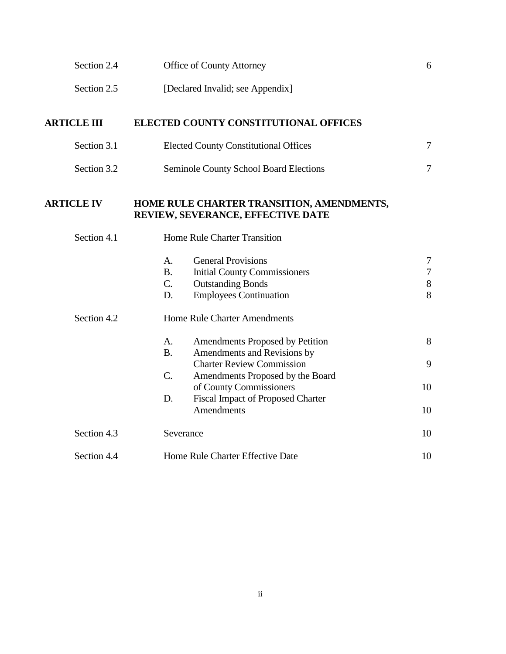| Section 2.4        | Office of County Attorney                                                                                                                                         | 6                                |
|--------------------|-------------------------------------------------------------------------------------------------------------------------------------------------------------------|----------------------------------|
| Section 2.5        | [Declared Invalid; see Appendix]                                                                                                                                  |                                  |
| <b>ARTICLE III</b> | ELECTED COUNTY CONSTITUTIONAL OFFICES                                                                                                                             |                                  |
| Section 3.1        | <b>Elected County Constitutional Offices</b>                                                                                                                      | $\tau$                           |
| Section 3.2        | Seminole County School Board Elections                                                                                                                            | $\tau$                           |
| <b>ARTICLE IV</b>  | HOME RULE CHARTER TRANSITION, AMENDMENTS,<br>REVIEW, SEVERANCE, EFFECTIVE DATE                                                                                    |                                  |
| Section 4.1        | Home Rule Charter Transition                                                                                                                                      |                                  |
|                    | <b>General Provisions</b><br>A.<br>B <sub>1</sub><br><b>Initial County Commissioners</b><br>C.<br><b>Outstanding Bonds</b><br>D.<br><b>Employees Continuation</b> | $\tau$<br>$\tau$<br>$\,8\,$<br>8 |
| Section 4.2        | <b>Home Rule Charter Amendments</b><br>A.<br>Amendments Proposed by Petition                                                                                      | 8                                |
|                    | <b>B.</b><br>Amendments and Revisions by<br><b>Charter Review Commission</b>                                                                                      | 9                                |
|                    | $C$ .<br>Amendments Proposed by the Board<br>of County Commissioners<br><b>Fiscal Impact of Proposed Charter</b><br>D.                                            | 10                               |
|                    | <b>Amendments</b>                                                                                                                                                 | 10                               |
| Section 4.3        | Severance                                                                                                                                                         | 10                               |
| Section 4.4        | Home Rule Charter Effective Date                                                                                                                                  | 10                               |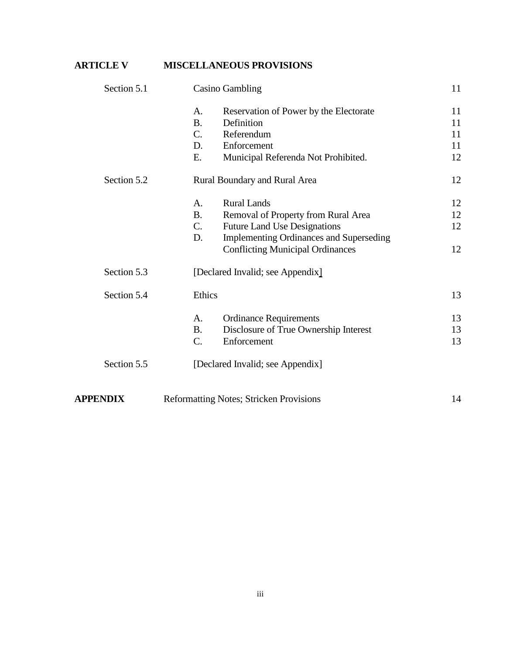# **ARTICLE V MISCELLANEOUS PROVISIONS**

| Section 5.1     | <b>Casino Gambling</b>                                 | 11 |
|-----------------|--------------------------------------------------------|----|
|                 | Reservation of Power by the Electorate<br>A.           | 11 |
|                 | <b>B.</b><br>Definition                                | 11 |
|                 | $C_{\cdot}$<br>Referendum                              | 11 |
|                 | Enforcement<br>D.                                      | 11 |
|                 | Municipal Referenda Not Prohibited.<br>Ε.              | 12 |
| Section 5.2     | Rural Boundary and Rural Area                          | 12 |
|                 | <b>Rural Lands</b><br>A.                               | 12 |
|                 | <b>B.</b><br>Removal of Property from Rural Area       | 12 |
|                 | <b>Future Land Use Designations</b><br>$\mathcal{C}$ . | 12 |
|                 | D.<br><b>Implementing Ordinances and Superseding</b>   |    |
|                 | <b>Conflicting Municipal Ordinances</b>                | 12 |
| Section 5.3     | [Declared Invalid; see Appendix]                       |    |
| Section 5.4     | Ethics                                                 | 13 |
|                 | <b>Ordinance Requirements</b><br>A.                    | 13 |
|                 | Disclosure of True Ownership Interest<br><b>B.</b>     | 13 |
|                 | C.<br>Enforcement                                      | 13 |
| Section 5.5     | [Declared Invalid; see Appendix]                       |    |
| <b>APPENDIX</b> | <b>Reformatting Notes; Stricken Provisions</b>         | 14 |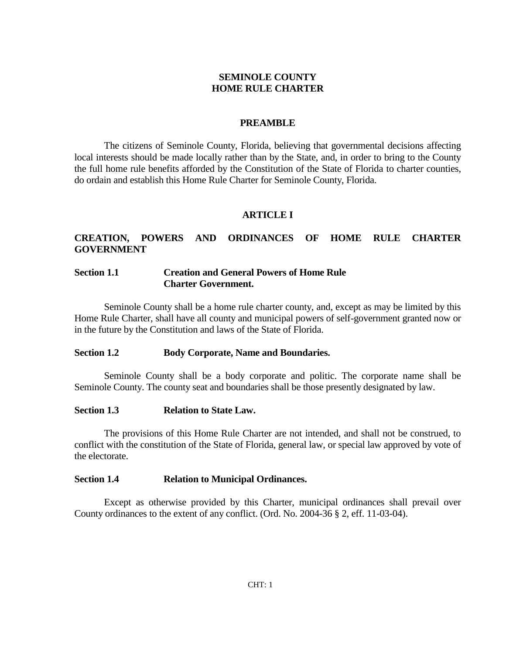### **SEMINOLE COUNTY HOME RULE CHARTER**

### **PREAMBLE**

The citizens of Seminole County, Florida, believing that governmental decisions affecting local interests should be made locally rather than by the State, and, in order to bring to the County the full home rule benefits afforded by the Constitution of the State of Florida to charter counties, do ordain and establish this Home Rule Charter for Seminole County, Florida.

### **ARTICLE I**

# **CREATION, POWERS AND ORDINANCES OF HOME RULE CHARTER GOVERNMENT**

### **Section 1.1 Creation and General Powers of Home Rule Charter Government.**

Seminole County shall be a home rule charter county, and, except as may be limited by this Home Rule Charter, shall have all county and municipal powers of self-government granted now or in the future by the Constitution and laws of the State of Florida.

### **Section 1.2 Body Corporate, Name and Boundaries.**

Seminole County shall be a body corporate and politic. The corporate name shall be Seminole County. The county seat and boundaries shall be those presently designated by law.

### **Section 1.3 Relation to State Law.**

The provisions of this Home Rule Charter are not intended, and shall not be construed, to conflict with the constitution of the State of Florida, general law, or special law approved by vote of the electorate.

### **Section 1.4 Relation to Municipal Ordinances.**

Except as otherwise provided by this Charter, municipal ordinances shall prevail over County ordinances to the extent of any conflict. (Ord. No. 2004-36 § 2, eff. 11-03-04).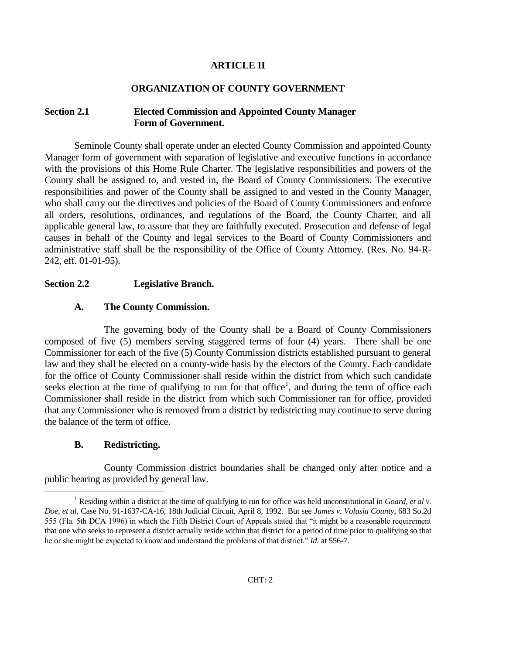### **ARTICLE II**

### **ORGANIZATION OF COUNTY GOVERNMENT**

### **Section 2.1 Elected Commission and Appointed County Manager Form of Government.**

Seminole County shall operate under an elected County Commission and appointed County Manager form of government with separation of legislative and executive functions in accordance with the provisions of this Home Rule Charter. The legislative responsibilities and powers of the County shall be assigned to, and vested in, the Board of County Commissioners. The executive responsibilities and power of the County shall be assigned to and vested in the County Manager, who shall carry out the directives and policies of the Board of County Commissioners and enforce all orders, resolutions, ordinances, and regulations of the Board, the County Charter, and all applicable general law, to assure that they are faithfully executed. Prosecution and defense of legal causes in behalf of the County and legal services to the Board of County Commissioners and administrative staff shall be the responsibility of the Office of County Attorney. (Res. No. 94-R-242, eff. 01-01-95).

### **Section 2.2 Legislative Branch.**

### **A. The County Commission.**

The governing body of the County shall be a Board of County Commissioners composed of five (5) members serving staggered terms of four (4) years. There shall be one Commissioner for each of the five (5) County Commission districts established pursuant to general law and they shall be elected on a county-wide basis by the electors of the County. Each candidate for the office of County Commissioner shall reside within the district from which such candidate seeks election at the time of qualifying to run for that office<sup>1</sup>, and during the term of office each Commissioner shall reside in the district from which such Commissioner ran for office, provided that any Commissioner who is removed from a district by redistricting may continue to serve during the balance of the term of office.

#### **B. Redistricting.**

a<br>B

County Commission district boundaries shall be changed only after notice and a public hearing as provided by general law.

<sup>1</sup> Residing within a district at the time of qualifying to run for office was held unconstitutional in *Goard, et al v. Doe, et al*, Case No. 91-1637-CA-16, 18th Judicial Circuit, April 8, 1992. But see *James v. Volusia County*, 683 So.2d 555 (Fla. 5th DCA 1996) in which the Fifth District Court of Appeals stated that "it might be a reasonable requirement that one who seeks to represent a district actually reside within that district for a period of time prior to qualifying so that he or she might be expected to know and understand the problems of that district." *Id.* at 556-7.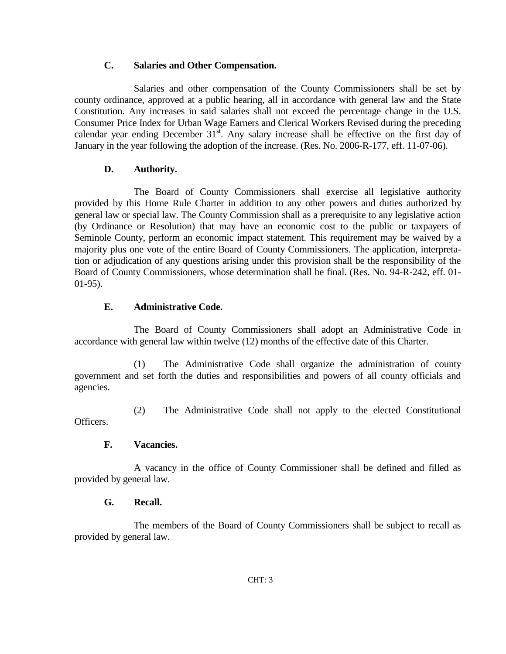### **C. Salaries and Other Compensation.**

Salaries and other compensation of the County Commissioners shall be set by county ordinance, approved at a public hearing, all in accordance with general law and the State Constitution. Any increases in said salaries shall not exceed the percentage change in the U.S. Consumer Price Index for Urban Wage Earners and Clerical Workers Revised during the preceding calendar year ending December  $31<sup>st</sup>$ . Any salary increase shall be effective on the first day of January in the year following the adoption of the increase. (Res. No. 2006-R-177, eff. 11-07-06).

# **D. Authority.**

The Board of County Commissioners shall exercise all legislative authority provided by this Home Rule Charter in addition to any other powers and duties authorized by general law or special law. The County Commission shall as a prerequisite to any legislative action (by Ordinance or Resolution) that may have an economic cost to the public or taxpayers of Seminole County, perform an economic impact statement. This requirement may be waived by a majority plus one vote of the entire Board of County Commissioners. The application, interpretation or adjudication of any questions arising under this provision shall be the responsibility of the Board of County Commissioners, whose determination shall be final. (Res. No. 94-R-242, eff. 01- 01-95).

# **E. Administrative Code.**

The Board of County Commissioners shall adopt an Administrative Code in accordance with general law within twelve (12) months of the effective date of this Charter.

(1) The Administrative Code shall organize the administration of county government and set forth the duties and responsibilities and powers of all county officials and agencies.

(2) The Administrative Code shall not apply to the elected Constitutional Officers.

# **F. Vacancies.**

A vacancy in the office of County Commissioner shall be defined and filled as provided by general law.

# **G. Recall.**

The members of the Board of County Commissioners shall be subject to recall as provided by general law.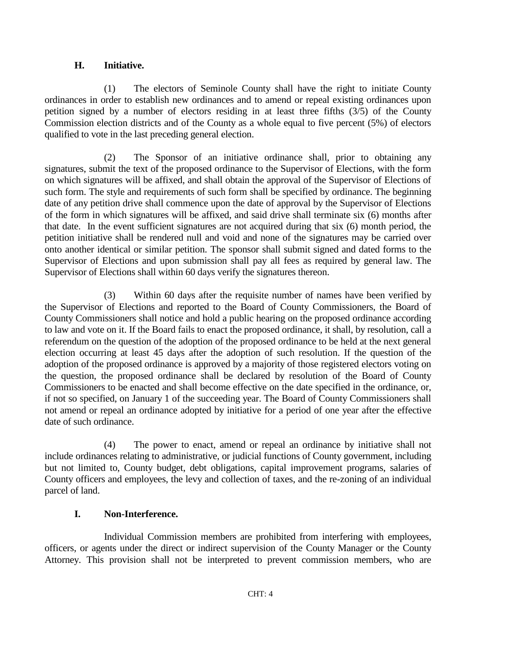# **H. Initiative.**

(1) The electors of Seminole County shall have the right to initiate County ordinances in order to establish new ordinances and to amend or repeal existing ordinances upon petition signed by a number of electors residing in at least three fifths (3/5) of the County Commission election districts and of the County as a whole equal to five percent (5%) of electors qualified to vote in the last preceding general election.

(2) The Sponsor of an initiative ordinance shall, prior to obtaining any signatures, submit the text of the proposed ordinance to the Supervisor of Elections, with the form on which signatures will be affixed, and shall obtain the approval of the Supervisor of Elections of such form. The style and requirements of such form shall be specified by ordinance. The beginning date of any petition drive shall commence upon the date of approval by the Supervisor of Elections of the form in which signatures will be affixed, and said drive shall terminate six (6) months after that date. In the event sufficient signatures are not acquired during that six (6) month period, the petition initiative shall be rendered null and void and none of the signatures may be carried over onto another identical or similar petition. The sponsor shall submit signed and dated forms to the Supervisor of Elections and upon submission shall pay all fees as required by general law. The Supervisor of Elections shall within 60 days verify the signatures thereon.

(3) Within 60 days after the requisite number of names have been verified by the Supervisor of Elections and reported to the Board of County Commissioners, the Board of County Commissioners shall notice and hold a public hearing on the proposed ordinance according to law and vote on it. If the Board fails to enact the proposed ordinance, it shall, by resolution, call a referendum on the question of the adoption of the proposed ordinance to be held at the next general election occurring at least 45 days after the adoption of such resolution. If the question of the adoption of the proposed ordinance is approved by a majority of those registered electors voting on the question, the proposed ordinance shall be declared by resolution of the Board of County Commissioners to be enacted and shall become effective on the date specified in the ordinance, or, if not so specified, on January 1 of the succeeding year. The Board of County Commissioners shall not amend or repeal an ordinance adopted by initiative for a period of one year after the effective date of such ordinance.

(4) The power to enact, amend or repeal an ordinance by initiative shall not include ordinances relating to administrative, or judicial functions of County government, including but not limited to, County budget, debt obligations, capital improvement programs, salaries of County officers and employees, the levy and collection of taxes, and the re-zoning of an individual parcel of land.

# **I. Non-Interference.**

Individual Commission members are prohibited from interfering with employees, officers, or agents under the direct or indirect supervision of the County Manager or the County Attorney. This provision shall not be interpreted to prevent commission members, who are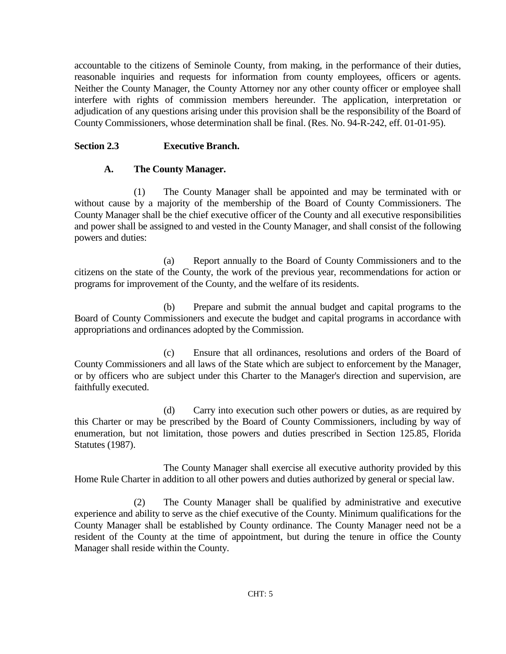accountable to the citizens of Seminole County, from making, in the performance of their duties, reasonable inquiries and requests for information from county employees, officers or agents. Neither the County Manager, the County Attorney nor any other county officer or employee shall interfere with rights of commission members hereunder. The application, interpretation or adjudication of any questions arising under this provision shall be the responsibility of the Board of County Commissioners, whose determination shall be final. (Res. No. 94-R-242, eff. 01-01-95).

# **Section 2.3 Executive Branch.**

# **A. The County Manager.**

(1) The County Manager shall be appointed and may be terminated with or without cause by a majority of the membership of the Board of County Commissioners. The County Manager shall be the chief executive officer of the County and all executive responsibilities and power shall be assigned to and vested in the County Manager, and shall consist of the following powers and duties:

(a) Report annually to the Board of County Commissioners and to the citizens on the state of the County, the work of the previous year, recommendations for action or programs for improvement of the County, and the welfare of its residents.

(b) Prepare and submit the annual budget and capital programs to the Board of County Commissioners and execute the budget and capital programs in accordance with appropriations and ordinances adopted by the Commission.

(c) Ensure that all ordinances, resolutions and orders of the Board of County Commissioners and all laws of the State which are subject to enforcement by the Manager, or by officers who are subject under this Charter to the Manager's direction and supervision, are faithfully executed.

(d) Carry into execution such other powers or duties, as are required by this Charter or may be prescribed by the Board of County Commissioners, including by way of enumeration, but not limitation, those powers and duties prescribed in Section 125.85, Florida Statutes (1987).

The County Manager shall exercise all executive authority provided by this Home Rule Charter in addition to all other powers and duties authorized by general or special law.

(2) The County Manager shall be qualified by administrative and executive experience and ability to serve as the chief executive of the County. Minimum qualifications for the County Manager shall be established by County ordinance. The County Manager need not be a resident of the County at the time of appointment, but during the tenure in office the County Manager shall reside within the County.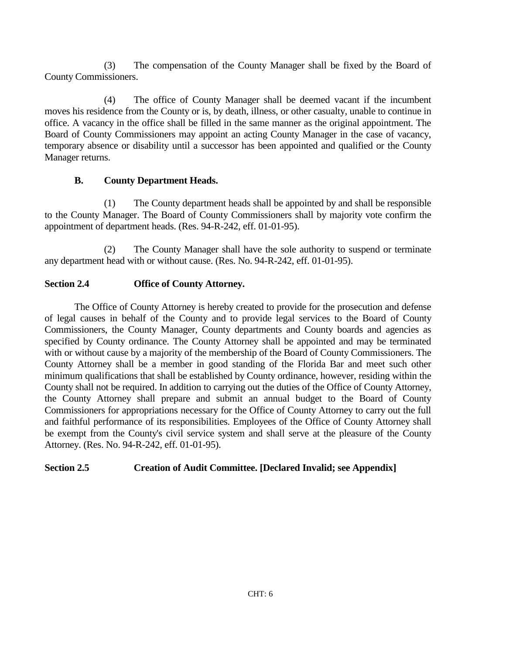(3) The compensation of the County Manager shall be fixed by the Board of County Commissioners.

(4) The office of County Manager shall be deemed vacant if the incumbent moves his residence from the County or is, by death, illness, or other casualty, unable to continue in office. A vacancy in the office shall be filled in the same manner as the original appointment. The Board of County Commissioners may appoint an acting County Manager in the case of vacancy, temporary absence or disability until a successor has been appointed and qualified or the County Manager returns.

# **B. County Department Heads.**

(1) The County department heads shall be appointed by and shall be responsible to the County Manager. The Board of County Commissioners shall by majority vote confirm the appointment of department heads. (Res. 94-R-242, eff. 01-01-95).

(2) The County Manager shall have the sole authority to suspend or terminate any department head with or without cause. (Res. No. 94-R-242, eff. 01-01-95).

# **Section 2.4 Office of County Attorney.**

The Office of County Attorney is hereby created to provide for the prosecution and defense of legal causes in behalf of the County and to provide legal services to the Board of County Commissioners, the County Manager, County departments and County boards and agencies as specified by County ordinance. The County Attorney shall be appointed and may be terminated with or without cause by a majority of the membership of the Board of County Commissioners. The County Attorney shall be a member in good standing of the Florida Bar and meet such other minimum qualifications that shall be established by County ordinance, however, residing within the County shall not be required. In addition to carrying out the duties of the Office of County Attorney, the County Attorney shall prepare and submit an annual budget to the Board of County Commissioners for appropriations necessary for the Office of County Attorney to carry out the full and faithful performance of its responsibilities. Employees of the Office of County Attorney shall be exempt from the County's civil service system and shall serve at the pleasure of the County Attorney. (Res. No. 94-R-242, eff. 01-01-95).

# **Section 2.5 Creation of Audit Committee. [Declared Invalid; see Appendix]**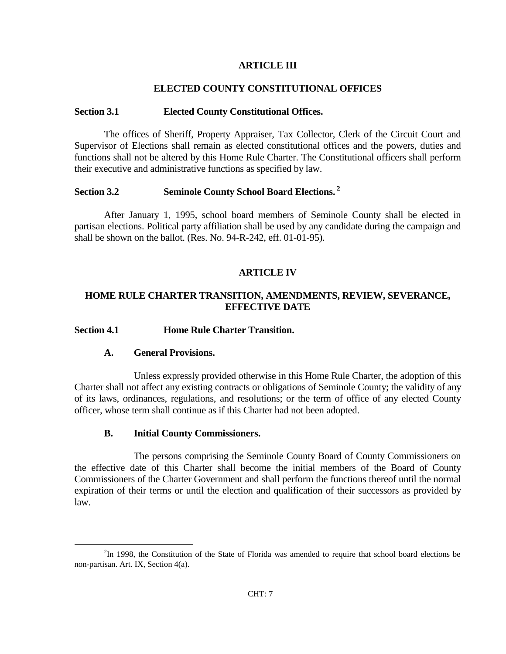### **ARTICLE III**

### **ELECTED COUNTY CONSTITUTIONAL OFFICES**

#### **Section 3.1 Elected County Constitutional Offices.**

The offices of Sheriff, Property Appraiser, Tax Collector, Clerk of the Circuit Court and Supervisor of Elections shall remain as elected constitutional offices and the powers, duties and functions shall not be altered by this Home Rule Charter. The Constitutional officers shall perform their executive and administrative functions as specified by law.

### **Section 3.2 Seminole County School Board Elections. <sup>2</sup>**

After January 1, 1995, school board members of Seminole County shall be elected in partisan elections. Political party affiliation shall be used by any candidate during the campaign and shall be shown on the ballot. (Res. No. 94-R-242, eff. 01-01-95).

### **ARTICLE IV**

### **HOME RULE CHARTER TRANSITION, AMENDMENTS, REVIEW, SEVERANCE, EFFECTIVE DATE**

#### **Section 4.1 Home Rule Charter Transition.**

#### **A. General Provisions.**

L,

Unless expressly provided otherwise in this Home Rule Charter, the adoption of this Charter shall not affect any existing contracts or obligations of Seminole County; the validity of any of its laws, ordinances, regulations, and resolutions; or the term of office of any elected County officer, whose term shall continue as if this Charter had not been adopted.

### **B. Initial County Commissioners.**

The persons comprising the Seminole County Board of County Commissioners on the effective date of this Charter shall become the initial members of the Board of County Commissioners of the Charter Government and shall perform the functions thereof until the normal expiration of their terms or until the election and qualification of their successors as provided by law.

 $2$ In 1998, the Constitution of the State of Florida was amended to require that school board elections be non-partisan. Art. IX, Section 4(a).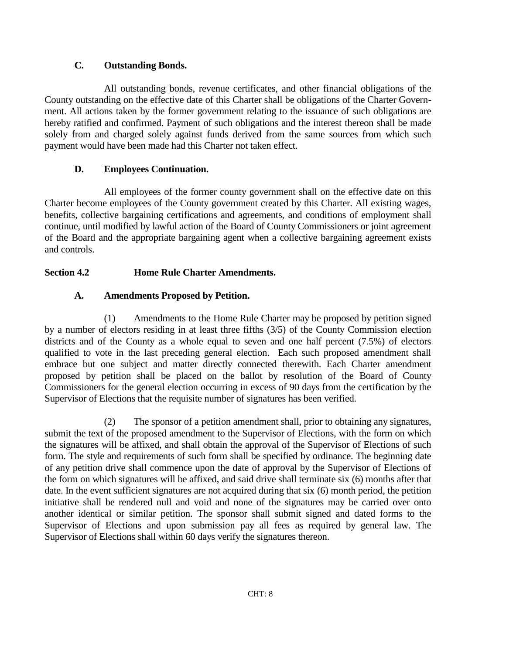# **C. Outstanding Bonds.**

All outstanding bonds, revenue certificates, and other financial obligations of the County outstanding on the effective date of this Charter shall be obligations of the Charter Government. All actions taken by the former government relating to the issuance of such obligations are hereby ratified and confirmed. Payment of such obligations and the interest thereon shall be made solely from and charged solely against funds derived from the same sources from which such payment would have been made had this Charter not taken effect.

# **D. Employees Continuation.**

All employees of the former county government shall on the effective date on this Charter become employees of the County government created by this Charter. All existing wages, benefits, collective bargaining certifications and agreements, and conditions of employment shall continue, until modified by lawful action of the Board of County Commissioners or joint agreement of the Board and the appropriate bargaining agent when a collective bargaining agreement exists and controls.

# **Section 4.2 Home Rule Charter Amendments.**

# **A. Amendments Proposed by Petition.**

(1) Amendments to the Home Rule Charter may be proposed by petition signed by a number of electors residing in at least three fifths (3/5) of the County Commission election districts and of the County as a whole equal to seven and one half percent (7.5%) of electors qualified to vote in the last preceding general election. Each such proposed amendment shall embrace but one subject and matter directly connected therewith. Each Charter amendment proposed by petition shall be placed on the ballot by resolution of the Board of County Commissioners for the general election occurring in excess of 90 days from the certification by the Supervisor of Elections that the requisite number of signatures has been verified.

(2) The sponsor of a petition amendment shall, prior to obtaining any signatures, submit the text of the proposed amendment to the Supervisor of Elections, with the form on which the signatures will be affixed, and shall obtain the approval of the Supervisor of Elections of such form. The style and requirements of such form shall be specified by ordinance. The beginning date of any petition drive shall commence upon the date of approval by the Supervisor of Elections of the form on which signatures will be affixed, and said drive shall terminate six (6) months after that date. In the event sufficient signatures are not acquired during that six (6) month period, the petition initiative shall be rendered null and void and none of the signatures may be carried over onto another identical or similar petition. The sponsor shall submit signed and dated forms to the Supervisor of Elections and upon submission pay all fees as required by general law. The Supervisor of Elections shall within 60 days verify the signatures thereon.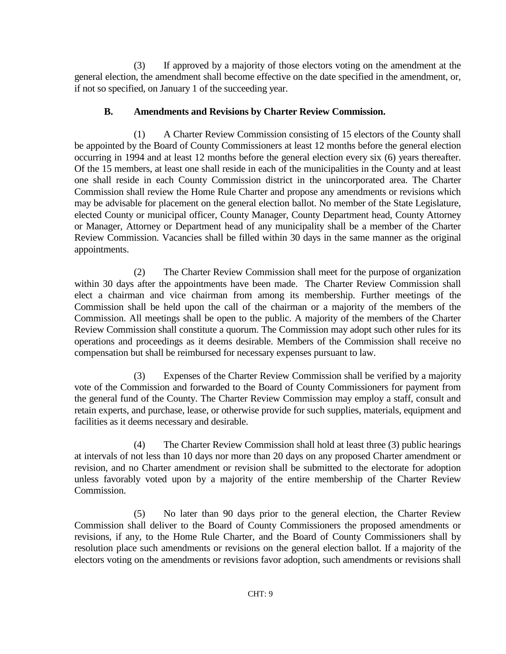(3) If approved by a majority of those electors voting on the amendment at the general election, the amendment shall become effective on the date specified in the amendment, or, if not so specified, on January 1 of the succeeding year.

# **B. Amendments and Revisions by Charter Review Commission.**

(1) A Charter Review Commission consisting of 15 electors of the County shall be appointed by the Board of County Commissioners at least 12 months before the general election occurring in 1994 and at least 12 months before the general election every six (6) years thereafter. Of the 15 members, at least one shall reside in each of the municipalities in the County and at least one shall reside in each County Commission district in the unincorporated area. The Charter Commission shall review the Home Rule Charter and propose any amendments or revisions which may be advisable for placement on the general election ballot. No member of the State Legislature, elected County or municipal officer, County Manager, County Department head, County Attorney or Manager, Attorney or Department head of any municipality shall be a member of the Charter Review Commission. Vacancies shall be filled within 30 days in the same manner as the original appointments.

(2) The Charter Review Commission shall meet for the purpose of organization within 30 days after the appointments have been made. The Charter Review Commission shall elect a chairman and vice chairman from among its membership. Further meetings of the Commission shall be held upon the call of the chairman or a majority of the members of the Commission. All meetings shall be open to the public. A majority of the members of the Charter Review Commission shall constitute a quorum. The Commission may adopt such other rules for its operations and proceedings as it deems desirable. Members of the Commission shall receive no compensation but shall be reimbursed for necessary expenses pursuant to law.

(3) Expenses of the Charter Review Commission shall be verified by a majority vote of the Commission and forwarded to the Board of County Commissioners for payment from the general fund of the County. The Charter Review Commission may employ a staff, consult and retain experts, and purchase, lease, or otherwise provide for such supplies, materials, equipment and facilities as it deems necessary and desirable.

(4) The Charter Review Commission shall hold at least three (3) public hearings at intervals of not less than 10 days nor more than 20 days on any proposed Charter amendment or revision, and no Charter amendment or revision shall be submitted to the electorate for adoption unless favorably voted upon by a majority of the entire membership of the Charter Review Commission.

(5) No later than 90 days prior to the general election, the Charter Review Commission shall deliver to the Board of County Commissioners the proposed amendments or revisions, if any, to the Home Rule Charter, and the Board of County Commissioners shall by resolution place such amendments or revisions on the general election ballot. If a majority of the electors voting on the amendments or revisions favor adoption, such amendments or revisions shall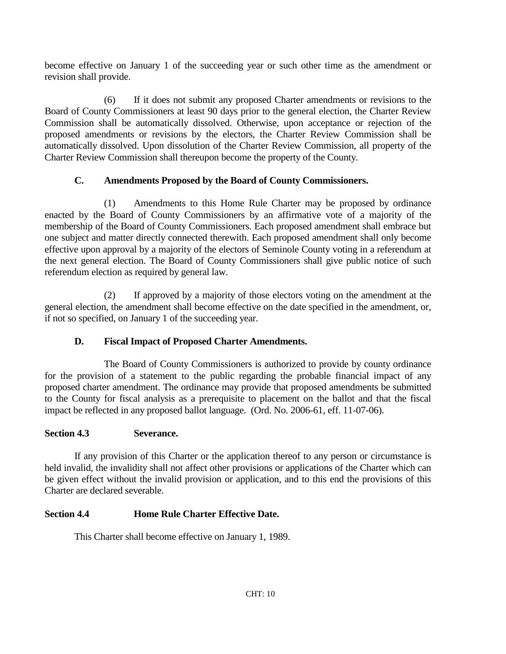become effective on January 1 of the succeeding year or such other time as the amendment or revision shall provide.

(6) If it does not submit any proposed Charter amendments or revisions to the Board of County Commissioners at least 90 days prior to the general election, the Charter Review Commission shall be automatically dissolved. Otherwise, upon acceptance or rejection of the proposed amendments or revisions by the electors, the Charter Review Commission shall be automatically dissolved. Upon dissolution of the Charter Review Commission, all property of the Charter Review Commission shall thereupon become the property of the County.

# **C. Amendments Proposed by the Board of County Commissioners.**

(1) Amendments to this Home Rule Charter may be proposed by ordinance enacted by the Board of County Commissioners by an affirmative vote of a majority of the membership of the Board of County Commissioners. Each proposed amendment shall embrace but one subject and matter directly connected therewith. Each proposed amendment shall only become effective upon approval by a majority of the electors of Seminole County voting in a referendum at the next general election. The Board of County Commissioners shall give public notice of such referendum election as required by general law.

(2) If approved by a majority of those electors voting on the amendment at the general election, the amendment shall become effective on the date specified in the amendment, or, if not so specified, on January 1 of the succeeding year.

# **D. Fiscal Impact of Proposed Charter Amendments.**

The Board of County Commissioners is authorized to provide by county ordinance for the provision of a statement to the public regarding the probable financial impact of any proposed charter amendment. The ordinance may provide that proposed amendments be submitted to the County for fiscal analysis as a prerequisite to placement on the ballot and that the fiscal impact be reflected in any proposed ballot language. (Ord. No. 2006-61, eff. 11-07-06).

# **Section 4.3 Severance.**

If any provision of this Charter or the application thereof to any person or circumstance is held invalid, the invalidity shall not affect other provisions or applications of the Charter which can be given effect without the invalid provision or application, and to this end the provisions of this Charter are declared severable.

# **Section 4.4 Home Rule Charter Effective Date.**

This Charter shall become effective on January 1, 1989.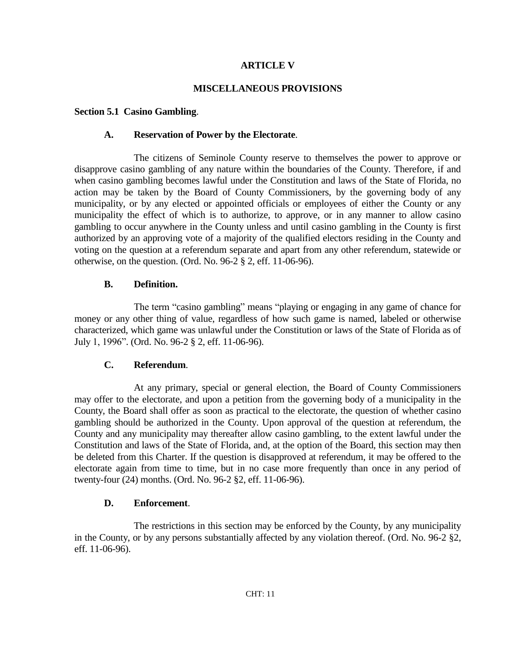### **ARTICLE V**

### **MISCELLANEOUS PROVISIONS**

### **Section 5.1 Casino Gambling**.

### **A. Reservation of Power by the Electorate**.

The citizens of Seminole County reserve to themselves the power to approve or disapprove casino gambling of any nature within the boundaries of the County. Therefore, if and when casino gambling becomes lawful under the Constitution and laws of the State of Florida, no action may be taken by the Board of County Commissioners, by the governing body of any municipality, or by any elected or appointed officials or employees of either the County or any municipality the effect of which is to authorize, to approve, or in any manner to allow casino gambling to occur anywhere in the County unless and until casino gambling in the County is first authorized by an approving vote of a majority of the qualified electors residing in the County and voting on the question at a referendum separate and apart from any other referendum, statewide or otherwise, on the question. (Ord. No. 96-2 § 2, eff. 11-06-96).

### **B. Definition.**

The term "casino gambling" means "playing or engaging in any game of chance for money or any other thing of value, regardless of how such game is named, labeled or otherwise characterized, which game was unlawful under the Constitution or laws of the State of Florida as of July 1, 1996". (Ord. No. 96-2 § 2, eff. 11-06-96).

### **C. Referendum**.

At any primary, special or general election, the Board of County Commissioners may offer to the electorate, and upon a petition from the governing body of a municipality in the County, the Board shall offer as soon as practical to the electorate, the question of whether casino gambling should be authorized in the County. Upon approval of the question at referendum, the County and any municipality may thereafter allow casino gambling, to the extent lawful under the Constitution and laws of the State of Florida, and, at the option of the Board, this section may then be deleted from this Charter. If the question is disapproved at referendum, it may be offered to the electorate again from time to time, but in no case more frequently than once in any period of twenty-four (24) months. (Ord. No. 96-2 §2, eff. 11-06-96).

### **D. Enforcement**.

The restrictions in this section may be enforced by the County, by any municipality in the County, or by any persons substantially affected by any violation thereof. (Ord. No. 96-2 §2, eff. 11-06-96).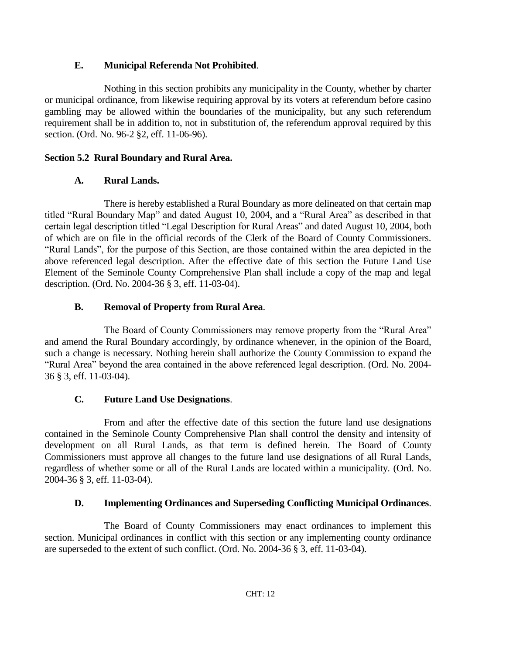# **E. Municipal Referenda Not Prohibited**.

Nothing in this section prohibits any municipality in the County, whether by charter or municipal ordinance, from likewise requiring approval by its voters at referendum before casino gambling may be allowed within the boundaries of the municipality, but any such referendum requirement shall be in addition to, not in substitution of, the referendum approval required by this section. (Ord. No. 96-2 §2, eff. 11-06-96).

# **Section 5.2 Rural Boundary and Rural Area.**

# **A. Rural Lands.**

There is hereby established a Rural Boundary as more delineated on that certain map titled "Rural Boundary Map" and dated August 10, 2004, and a "Rural Area" as described in that certain legal description titled "Legal Description for Rural Areas" and dated August 10, 2004, both of which are on file in the official records of the Clerk of the Board of County Commissioners. "Rural Lands", for the purpose of this Section, are those contained within the area depicted in the above referenced legal description. After the effective date of this section the Future Land Use Element of the Seminole County Comprehensive Plan shall include a copy of the map and legal description. (Ord. No. 2004-36 § 3, eff. 11-03-04).

# **B. Removal of Property from Rural Area**.

The Board of County Commissioners may remove property from the "Rural Area" and amend the Rural Boundary accordingly, by ordinance whenever, in the opinion of the Board, such a change is necessary. Nothing herein shall authorize the County Commission to expand the "Rural Area" beyond the area contained in the above referenced legal description. (Ord. No. 2004- 36 § 3, eff. 11-03-04).

# **C. Future Land Use Designations**.

From and after the effective date of this section the future land use designations contained in the Seminole County Comprehensive Plan shall control the density and intensity of development on all Rural Lands, as that term is defined herein. The Board of County Commissioners must approve all changes to the future land use designations of all Rural Lands, regardless of whether some or all of the Rural Lands are located within a municipality. (Ord. No. 2004-36 § 3, eff. 11-03-04).

# **D. Implementing Ordinances and Superseding Conflicting Municipal Ordinances**.

The Board of County Commissioners may enact ordinances to implement this section. Municipal ordinances in conflict with this section or any implementing county ordinance are superseded to the extent of such conflict. (Ord. No. 2004-36 § 3, eff. 11-03-04).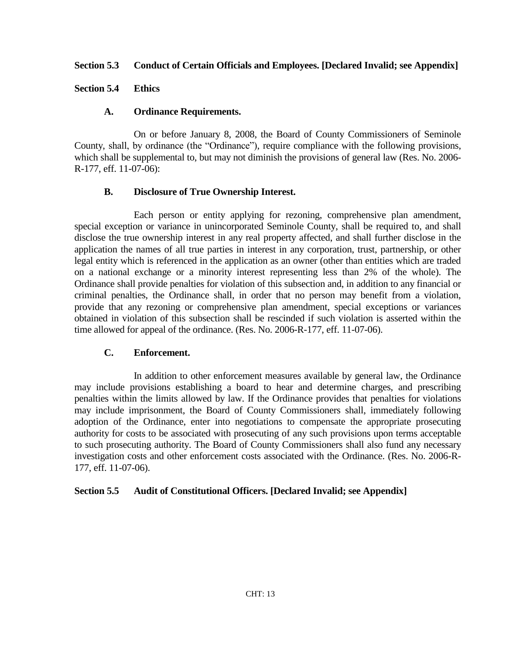### **Section 5.3 Conduct of Certain Officials and Employees. [Declared Invalid; see Appendix]**

### **Section 5.4 Ethics**

### **A. Ordinance Requirements.**

On or before January 8, 2008, the Board of County Commissioners of Seminole County, shall, by ordinance (the "Ordinance"), require compliance with the following provisions, which shall be supplemental to, but may not diminish the provisions of general law (Res. No. 2006-R-177, eff. 11-07-06):

### **B. Disclosure of True Ownership Interest.**

Each person or entity applying for rezoning, comprehensive plan amendment, special exception or variance in unincorporated Seminole County, shall be required to, and shall disclose the true ownership interest in any real property affected, and shall further disclose in the application the names of all true parties in interest in any corporation, trust, partnership, or other legal entity which is referenced in the application as an owner (other than entities which are traded on a national exchange or a minority interest representing less than 2% of the whole). The Ordinance shall provide penalties for violation of this subsection and, in addition to any financial or criminal penalties, the Ordinance shall, in order that no person may benefit from a violation, provide that any rezoning or comprehensive plan amendment, special exceptions or variances obtained in violation of this subsection shall be rescinded if such violation is asserted within the time allowed for appeal of the ordinance. (Res. No. 2006-R-177, eff. 11-07-06).

### **C. Enforcement.**

In addition to other enforcement measures available by general law, the Ordinance may include provisions establishing a board to hear and determine charges, and prescribing penalties within the limits allowed by law. If the Ordinance provides that penalties for violations may include imprisonment, the Board of County Commissioners shall, immediately following adoption of the Ordinance, enter into negotiations to compensate the appropriate prosecuting authority for costs to be associated with prosecuting of any such provisions upon terms acceptable to such prosecuting authority. The Board of County Commissioners shall also fund any necessary investigation costs and other enforcement costs associated with the Ordinance. (Res. No. 2006-R-177, eff. 11-07-06).

### **Section 5.5 Audit of Constitutional Officers. [Declared Invalid; see Appendix]**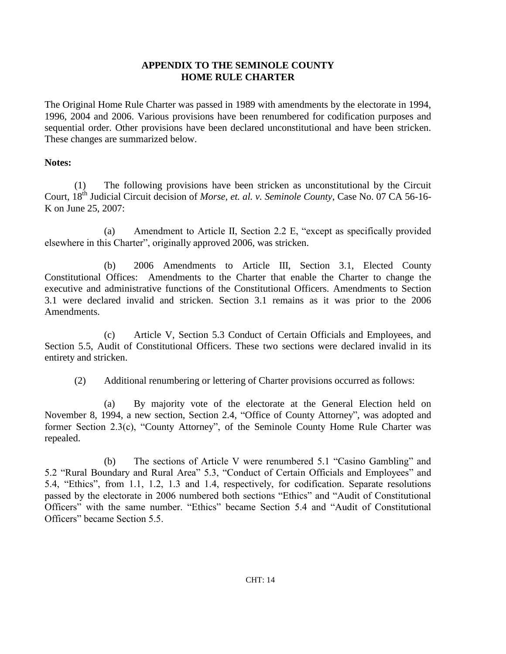# **APPENDIX TO THE SEMINOLE COUNTY HOME RULE CHARTER**

The Original Home Rule Charter was passed in 1989 with amendments by the electorate in 1994, 1996, 2004 and 2006. Various provisions have been renumbered for codification purposes and sequential order. Other provisions have been declared unconstitutional and have been stricken. These changes are summarized below.

### **Notes:**

(1) The following provisions have been stricken as unconstitutional by the Circuit Court, 18th Judicial Circuit decision of *Morse, et. al. v. Seminole County*, Case No. 07 CA 56-16- K on June 25, 2007:

(a) Amendment to Article II, Section 2.2 E, "except as specifically provided elsewhere in this Charter", originally approved 2006, was stricken.

(b) 2006 Amendments to Article III, Section 3.1, Elected County Constitutional Offices: Amendments to the Charter that enable the Charter to change the executive and administrative functions of the Constitutional Officers. Amendments to Section 3.1 were declared invalid and stricken. Section 3.1 remains as it was prior to the 2006 Amendments.

(c) Article V, Section 5.3 Conduct of Certain Officials and Employees, and Section 5.5, Audit of Constitutional Officers. These two sections were declared invalid in its entirety and stricken.

(2) Additional renumbering or lettering of Charter provisions occurred as follows:

(a) By majority vote of the electorate at the General Election held on November 8, 1994, a new section, Section 2.4, "Office of County Attorney", was adopted and former Section 2.3(c), "County Attorney", of the Seminole County Home Rule Charter was repealed.

(b) The sections of Article V were renumbered 5.1 "Casino Gambling" and 5.2 "Rural Boundary and Rural Area" 5.3, "Conduct of Certain Officials and Employees" and 5.4, "Ethics", from 1.1, 1.2, 1.3 and 1.4, respectively, for codification. Separate resolutions passed by the electorate in 2006 numbered both sections "Ethics" and "Audit of Constitutional Officers" with the same number. "Ethics" became Section 5.4 and "Audit of Constitutional Officers" became Section 5.5.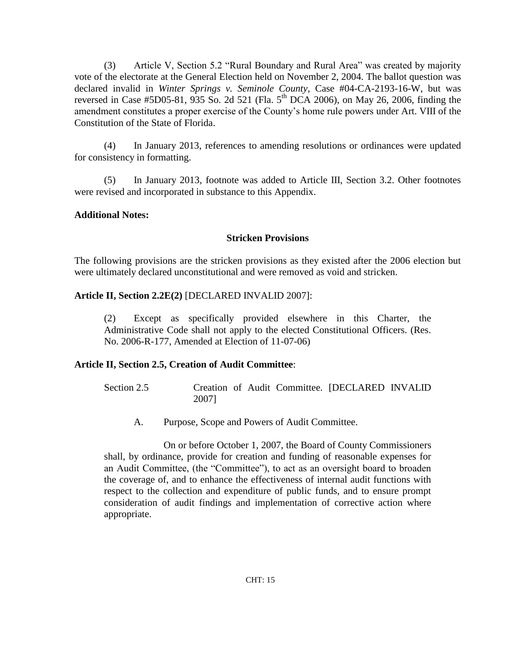(3) Article V, Section 5.2 "Rural Boundary and Rural Area" was created by majority vote of the electorate at the General Election held on November 2, 2004. The ballot question was declared invalid in *Winter Springs v. Seminole County*, Case #04-CA-2193-16-W, but was reversed in Case #5D05-81, 935 So. 2d 521 (Fla.  $5^{th}$  DCA 2006), on May 26, 2006, finding the amendment constitutes a proper exercise of the County's home rule powers under Art. VIII of the Constitution of the State of Florida.

(4) In January 2013, references to amending resolutions or ordinances were updated for consistency in formatting.

(5) In January 2013, footnote was added to Article III, Section 3.2. Other footnotes were revised and incorporated in substance to this Appendix.

# **Additional Notes:**

# **Stricken Provisions**

The following provisions are the stricken provisions as they existed after the 2006 election but were ultimately declared unconstitutional and were removed as void and stricken.

# **Article II, Section 2.2E(2)** [DECLARED INVALID 2007]:

(2) Except as specifically provided elsewhere in this Charter, the Administrative Code shall not apply to the elected Constitutional Officers. (Res. No. 2006-R-177, Amended at Election of 11-07-06)

# **Article II, Section 2.5, Creation of Audit Committee**:

Section 2.5 Creation of Audit Committee. [DECLARED INVALID 2007]

A. Purpose, Scope and Powers of Audit Committee.

On or before October 1, 2007, the Board of County Commissioners shall, by ordinance, provide for creation and funding of reasonable expenses for an Audit Committee, (the "Committee"), to act as an oversight board to broaden the coverage of, and to enhance the effectiveness of internal audit functions with respect to the collection and expenditure of public funds, and to ensure prompt consideration of audit findings and implementation of corrective action where appropriate.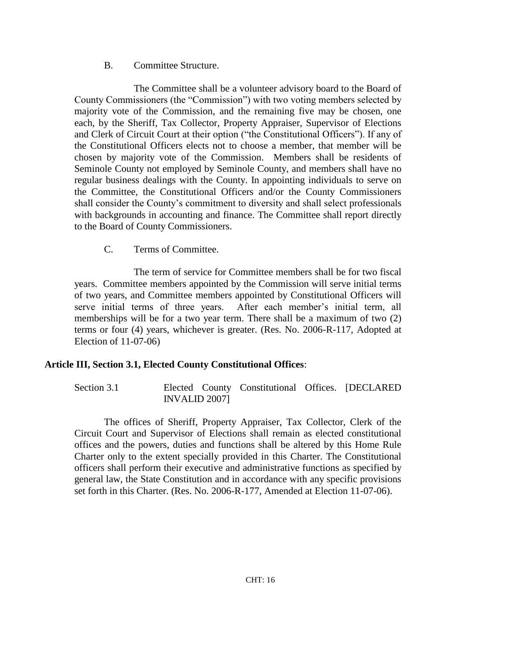# B. Committee Structure.

The Committee shall be a volunteer advisory board to the Board of County Commissioners (the "Commission") with two voting members selected by majority vote of the Commission, and the remaining five may be chosen, one each, by the Sheriff, Tax Collector, Property Appraiser, Supervisor of Elections and Clerk of Circuit Court at their option ("the Constitutional Officers"). If any of the Constitutional Officers elects not to choose a member, that member will be chosen by majority vote of the Commission. Members shall be residents of Seminole County not employed by Seminole County, and members shall have no regular business dealings with the County. In appointing individuals to serve on the Committee, the Constitutional Officers and/or the County Commissioners shall consider the County's commitment to diversity and shall select professionals with backgrounds in accounting and finance. The Committee shall report directly to the Board of County Commissioners.

C. Terms of Committee.

The term of service for Committee members shall be for two fiscal years. Committee members appointed by the Commission will serve initial terms of two years, and Committee members appointed by Constitutional Officers will serve initial terms of three years. After each member's initial term, all memberships will be for a two year term. There shall be a maximum of two (2) terms or four (4) years, whichever is greater. (Res. No. 2006-R-117, Adopted at Election of 11-07-06)

# **Article III, Section 3.1, Elected County Constitutional Offices**:

Section 3.1 Elected County Constitutional Offices. [DECLARED INVALID 2007]

The offices of Sheriff, Property Appraiser, Tax Collector, Clerk of the Circuit Court and Supervisor of Elections shall remain as elected constitutional offices and the powers, duties and functions shall be altered by this Home Rule Charter only to the extent specially provided in this Charter. The Constitutional officers shall perform their executive and administrative functions as specified by general law, the State Constitution and in accordance with any specific provisions set forth in this Charter. (Res. No. 2006-R-177, Amended at Election 11-07-06).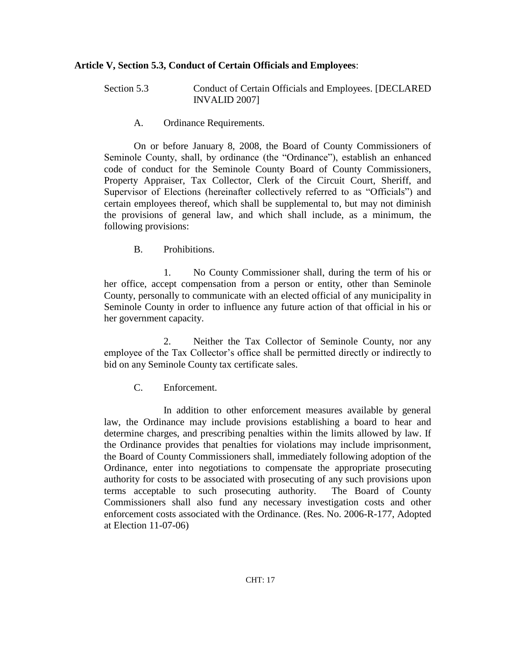# **Article V, Section 5.3, Conduct of Certain Officials and Employees**:

Section 5.3 Conduct of Certain Officials and Employees. [DECLARED INVALID 2007]

A. Ordinance Requirements.

On or before January 8, 2008, the Board of County Commissioners of Seminole County, shall, by ordinance (the "Ordinance"), establish an enhanced code of conduct for the Seminole County Board of County Commissioners, Property Appraiser, Tax Collector, Clerk of the Circuit Court, Sheriff, and Supervisor of Elections (hereinafter collectively referred to as "Officials") and certain employees thereof, which shall be supplemental to, but may not diminish the provisions of general law, and which shall include, as a minimum, the following provisions:

B. Prohibitions.

1. No County Commissioner shall, during the term of his or her office, accept compensation from a person or entity, other than Seminole County, personally to communicate with an elected official of any municipality in Seminole County in order to influence any future action of that official in his or her government capacity.

2. Neither the Tax Collector of Seminole County, nor any employee of the Tax Collector's office shall be permitted directly or indirectly to bid on any Seminole County tax certificate sales.

C. Enforcement.

In addition to other enforcement measures available by general law, the Ordinance may include provisions establishing a board to hear and determine charges, and prescribing penalties within the limits allowed by law. If the Ordinance provides that penalties for violations may include imprisonment, the Board of County Commissioners shall, immediately following adoption of the Ordinance, enter into negotiations to compensate the appropriate prosecuting authority for costs to be associated with prosecuting of any such provisions upon terms acceptable to such prosecuting authority. The Board of County Commissioners shall also fund any necessary investigation costs and other enforcement costs associated with the Ordinance. (Res. No. 2006-R-177, Adopted at Election 11-07-06)